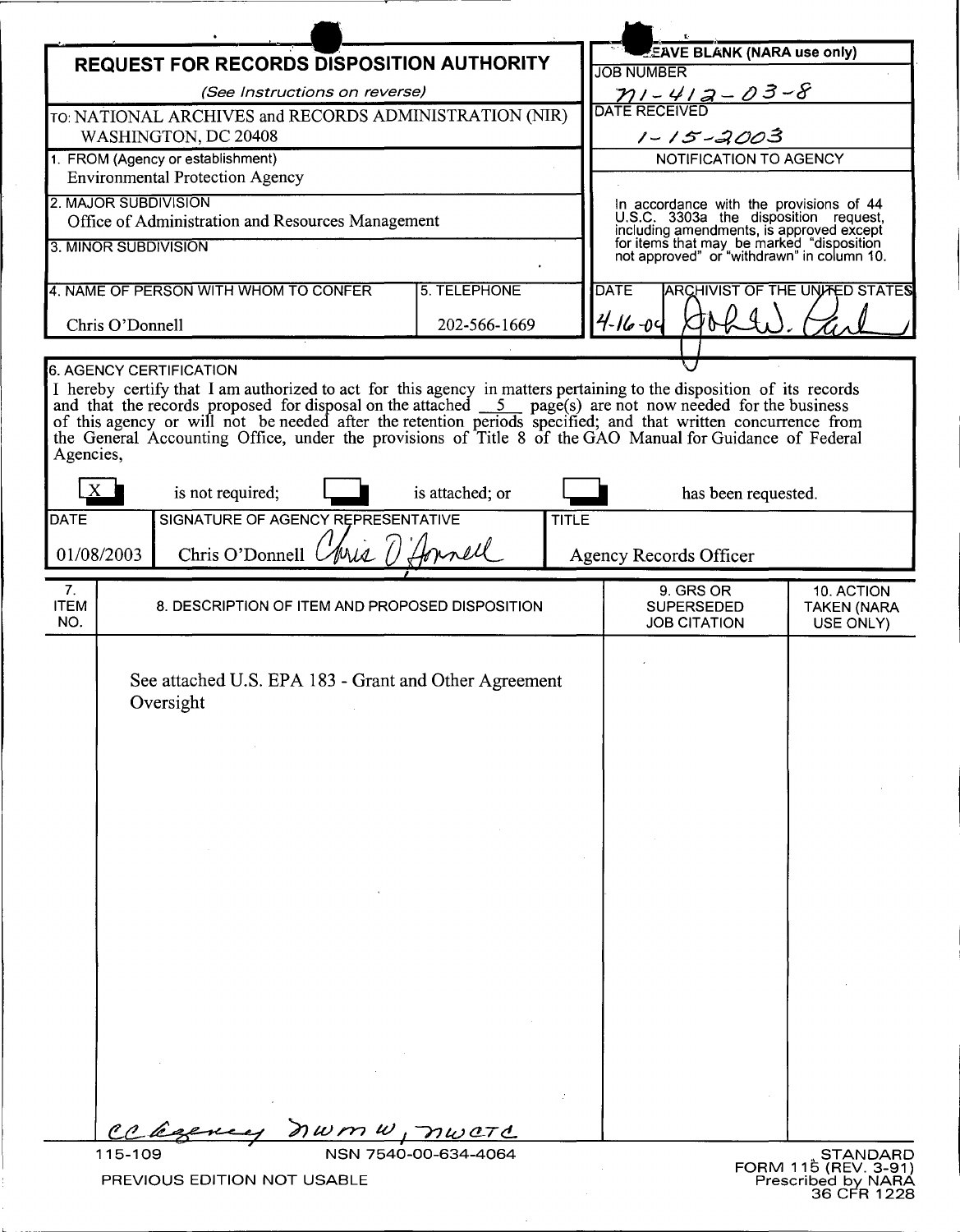|                                                                             |                                                                                                                                                                                                                                                                                                                                                    |                 |               |                                                                                                                                                                              | NWML                                  |
|-----------------------------------------------------------------------------|----------------------------------------------------------------------------------------------------------------------------------------------------------------------------------------------------------------------------------------------------------------------------------------------------------------------------------------------------|-----------------|---------------|------------------------------------------------------------------------------------------------------------------------------------------------------------------------------|---------------------------------------|
|                                                                             | REQUEST FOR RECORDS DISPOSITION AUTHORITY                                                                                                                                                                                                                                                                                                          |                 |               | <b>EAVE BLANK (NARA use only)</b>                                                                                                                                            |                                       |
| (See Instructions on reverse)                                               |                                                                                                                                                                                                                                                                                                                                                    |                 |               | <b>JOB NUMBER</b>                                                                                                                                                            |                                       |
|                                                                             | TO: NATIONAL ARCHIVES and RECORDS ADMINISTRATION (NIR)                                                                                                                                                                                                                                                                                             |                 |               | $\frac{\gamma_1-\gamma_2-\sigma-2-\sigma}{\text{DATE RECEIVE}}$                                                                                                              |                                       |
| WASHINGTON, DC 20408                                                        |                                                                                                                                                                                                                                                                                                                                                    |                 |               | $1 - 15 - 2003$                                                                                                                                                              |                                       |
| 1. FROM (Agency or establishment)<br><b>Environmental Protection Agency</b> |                                                                                                                                                                                                                                                                                                                                                    |                 |               | NOTIFICATION TO AGENCY                                                                                                                                                       |                                       |
|                                                                             |                                                                                                                                                                                                                                                                                                                                                    |                 |               |                                                                                                                                                                              |                                       |
| 2. MAJOR SUBDIVISION                                                        | Office of Administration and Resources Management                                                                                                                                                                                                                                                                                                  |                 |               | In accordance with the provisions of 44                                                                                                                                      |                                       |
| 3. MINOR SUBDIVISION                                                        |                                                                                                                                                                                                                                                                                                                                                    |                 |               | U.S.C. 3303a the disposition request,<br>including amendments, is approved except<br>for items that may be marked "disposition<br>not approved" or "withdrawn" in column 10. |                                       |
|                                                                             |                                                                                                                                                                                                                                                                                                                                                    |                 |               |                                                                                                                                                                              |                                       |
|                                                                             | 4. NAME OF PERSON WITH WHOM TO CONFER                                                                                                                                                                                                                                                                                                              | 5. TELEPHONE    |               | <b>DATE</b>                                                                                                                                                                  | <b>ARCHIVIST OF THE UNITED STATES</b> |
| 202-566-1669<br>Chris O'Donnell                                             |                                                                                                                                                                                                                                                                                                                                                    |                 | $4 - 16 - 04$ |                                                                                                                                                                              |                                       |
|                                                                             |                                                                                                                                                                                                                                                                                                                                                    |                 |               |                                                                                                                                                                              |                                       |
|                                                                             | 6. AGENCY CERTIFICATION<br>I hereby certify that I am authorized to act for this agency in matters pertaining to the disposition of its records                                                                                                                                                                                                    |                 |               |                                                                                                                                                                              |                                       |
| Agencies,                                                                   | and that the records proposed for disposal on the attached $\overline{5}$ page(s) are not now needed for the business<br>of this agency or will not be needed after the retention periods specified; and that written concurrence from<br>the General Accounting Office, under the provisions of Title 8 of the GAO Manual for Guidance of Federal |                 |               |                                                                                                                                                                              |                                       |
|                                                                             | is not required;                                                                                                                                                                                                                                                                                                                                   | is attached; or |               | has been requested.                                                                                                                                                          |                                       |
| DATE                                                                        | SIGNATURE OF AGENCY REPRESENTATIVE                                                                                                                                                                                                                                                                                                                 | <b>TITLE</b>    |               |                                                                                                                                                                              |                                       |
| 01/08/2003                                                                  | Chris O'Donnell <i>(Myil)</i>                                                                                                                                                                                                                                                                                                                      | Innell          |               | <b>Agency Records Officer</b>                                                                                                                                                |                                       |
| 7.<br><b>ITEM</b>                                                           | 8. DESCRIPTION OF ITEM AND PROPOSED DISPOSITION                                                                                                                                                                                                                                                                                                    |                 |               | 9. GRS OR<br><b>SUPERSEDED</b>                                                                                                                                               | 10. ACTION                            |
| NO.                                                                         |                                                                                                                                                                                                                                                                                                                                                    |                 |               | <b>JOB CITATION</b>                                                                                                                                                          | <b>TAKEN (NARA</b><br>USE ONLY)       |
|                                                                             | See attached U.S. EPA 183 - Grant and Other Agreement<br>Oversight                                                                                                                                                                                                                                                                                 |                 |               |                                                                                                                                                                              |                                       |
|                                                                             |                                                                                                                                                                                                                                                                                                                                                    |                 |               |                                                                                                                                                                              |                                       |
| $c$ de                                                                      | nwmw, nword                                                                                                                                                                                                                                                                                                                                        |                 |               |                                                                                                                                                                              |                                       |

 $\overline{\phantom{a}}$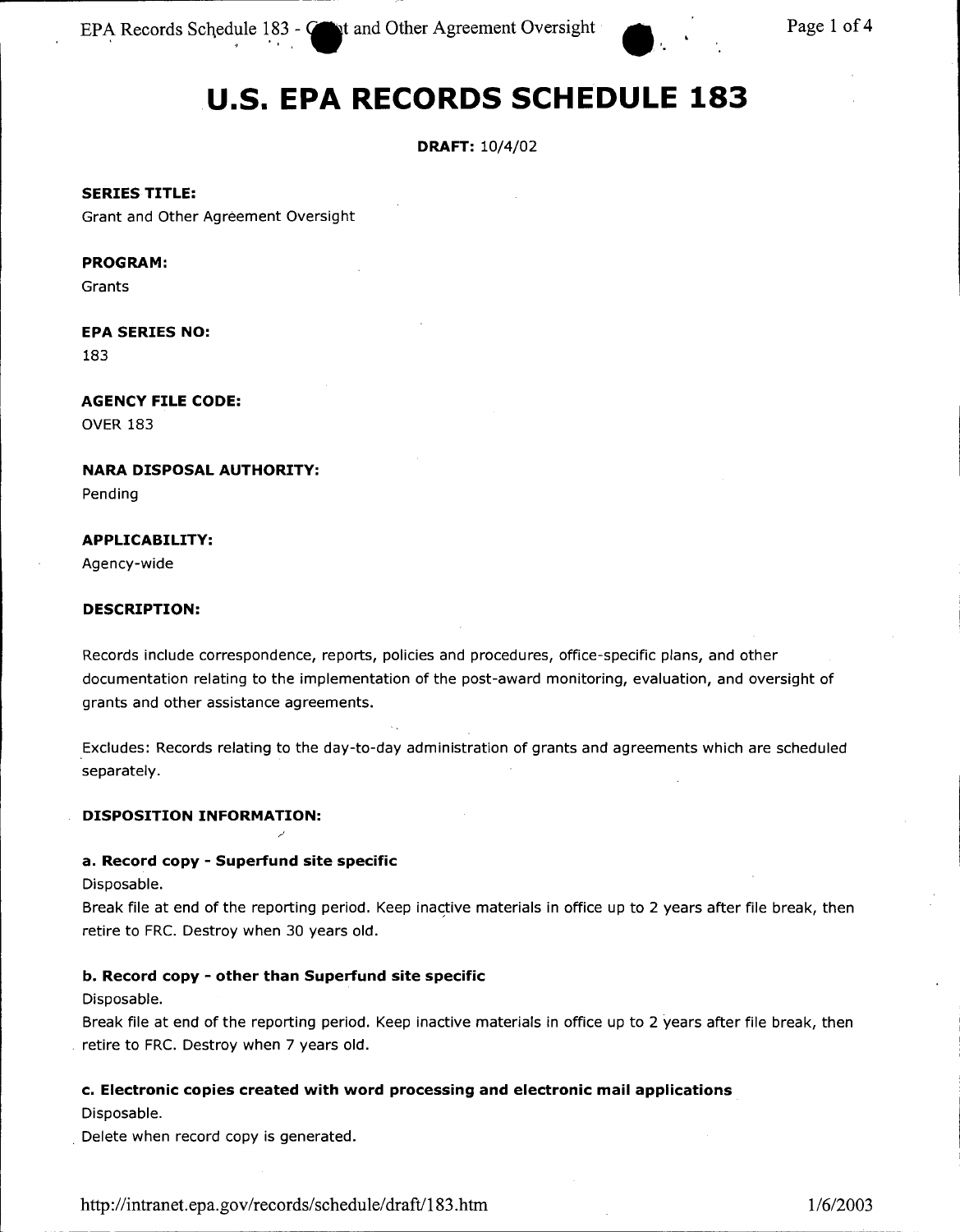EPA Records Schedule 183 - **Come to and Other Agreement Oversight . The Page 1 of 4** and Other Agreement Oversight **• 2** and Page 1 of 4

# **u.s. EPA RECORDS SCHEDULE 183**

### **DRAFT:** 10/4/02

**SERIES TITLE:**

Grant and Other Agreement Oversight

#### **PROGRAM:**

Grants

# **EPA SERIES NO:**

183

# **AGENCY FILE CODE:** OVER 183

**NARA DISPOSAL AUTHORITY:**

Pending

#### **APPLICABILITY:**

Agency-wide

#### **DESCRIPTION:**

Records include correspondence, reports, policies and procedures, office-specific plans, and other documentation relating to the implementation of the post-award monitoring, evaluation, and oversight of grants and other assistance agreements.

Excludes: Records relating to the day-to-day administration of grants and agreements which are scheduled separately.

#### **DISPOSITION INFORMATION:**

# **a. Record copy - Superfund site specific**

Disposable.

Break file at end of the reporting period. Keep inactive materials in office up to 2 years after file break, then retire to FRC. Destroy when 30 years old.

# **b. Record copy - other than Superfund site specific**

Disposable.

Break file at end of the reporting period. Keep inactive materials in office up to 2 years after file break, then retire to FRC. Destroy when 7 years old.

# **c. Electronic copies created with word processing and electronic mail applications**

-----------------------------------------------------------------------------

Disposable.

, Delete when record copy is generated.

<http://intranet.epa.gov/records/schedule/>draft/183.htm 1/6/2003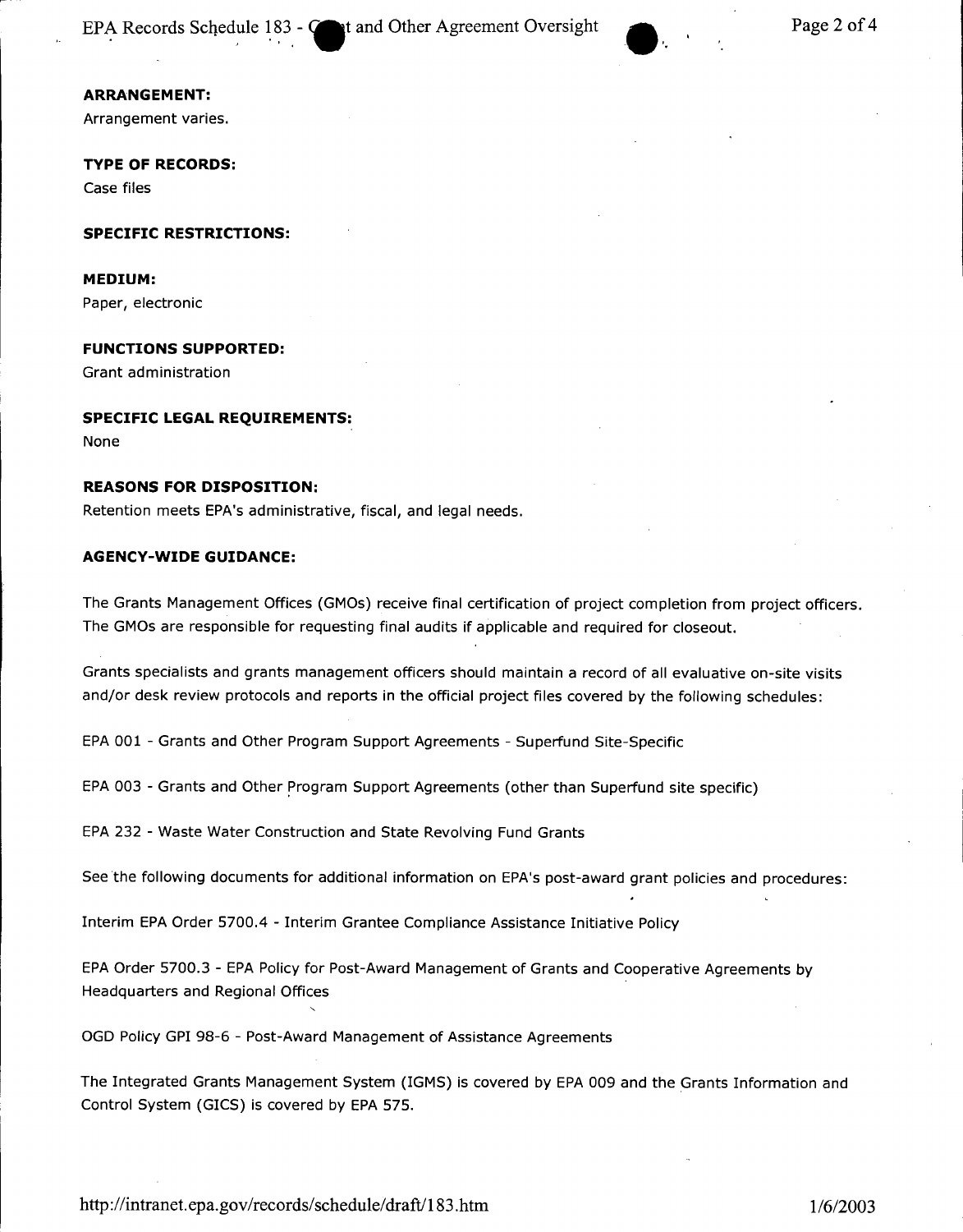**ARRANGEMENT:**

Arrangement varies.

**TYPE OF RECORDS:** Case files

**SPECIFIC RESTRICTIONS:**

**MEDIUM:**

Paper, electronic

**FUNCTIONS SUPPORTED:**

Grant administration

#### **SPECIFIC LEGAL REQUIREMENTS:**

None

#### **REASONS FOR DISPOSITION:**

Retention meets EPA's administrative, fiscal, and legal needs.

#### **AGENCY-WIDE GUIDANCE:**

The Grants Management Offices (GMOs) receive final certification of project completion from project officers. The GMOs are responsible for requesting final audits if applicable and required for closeout.

Grants specialists and grants management officers should maintain a record of all evaluative on-site visits and/or desk review protocols and reports in the official project files covered by the following schedules:

EPA001 - Grants and Other Program Support Agreements - Superfund Site-Specific

EPA003 - Grants and Other program Support Agreements (other than Superfund site specific)

EPA232 - Waste Water Construction and State Revolving Fund Grants

See the following documents for additional information on EPA's post-award grant policies and procedures:

Interim EPA Order 5700.4 - Interim Grantee Compliance Assistance Initiative Policy

EPA Order 5700.3 - EPA Policy for Post-Award Management of Grants and Cooperative Agreements by Headquarters and Regional Offices

OGD Policy GPI 98-6 - Post-Award Management of Assistance Agreements

The Integrated Grants Management System (IGMS) is covered by EPA009 and the Grants Information and Control System (GICS) is covered by EPA 575.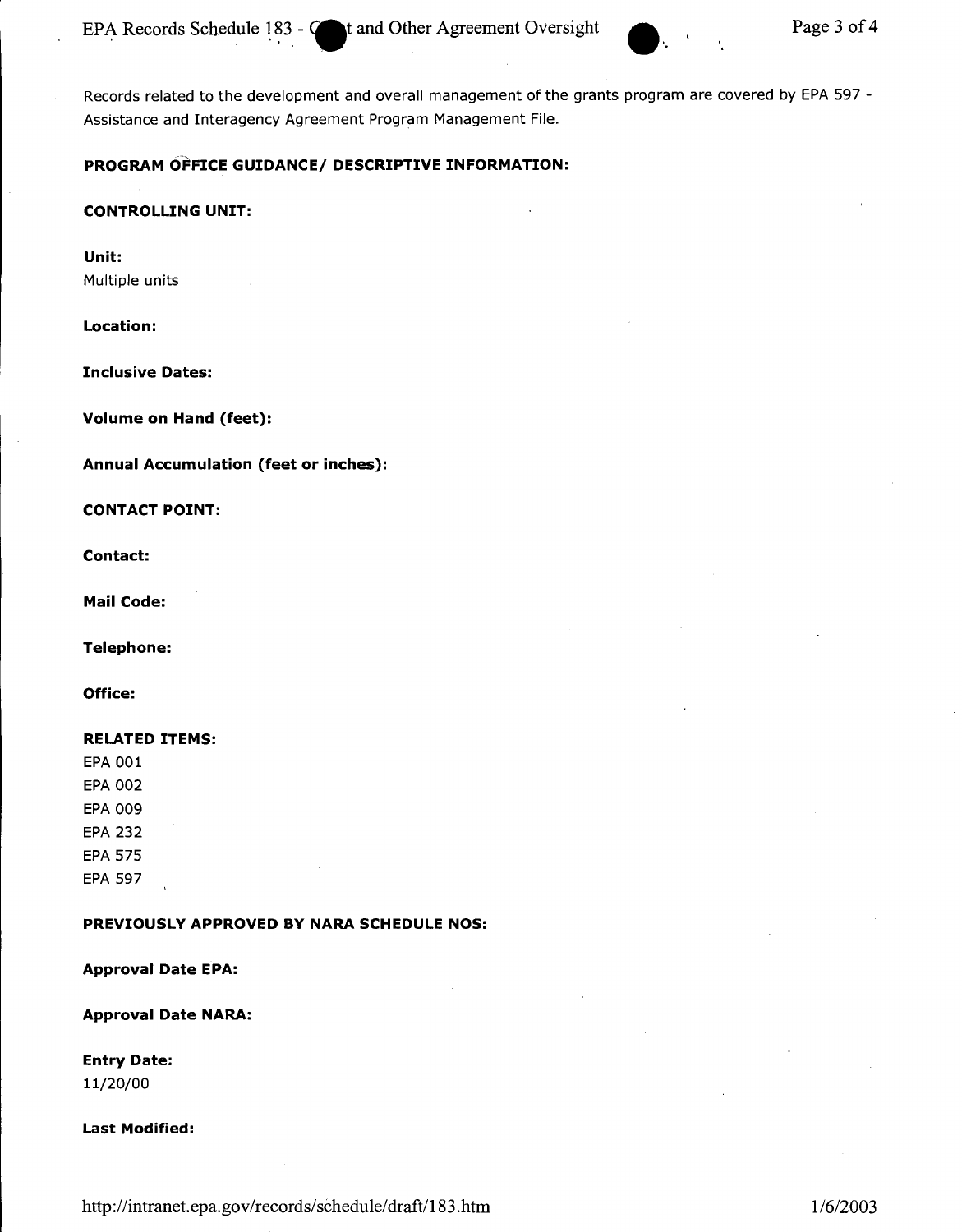Records related to the development and overall management of the grants program are covered by EPA 597 - Assistance and Interagency Agreement Program Management File.

#### **PROGRAM OFFICE GUIDANCE/ DESCRIPTIVE INFORMATION:**

#### **CONTROLLING UNIT:**

**Unit:** Multiple units

#### **Location:**

**Inclusive Dates:**

**Volume on Hand (feet):**

**Annual Accumulation (feet or inches):**

,.-------------------------\_. \_\_ .\_--

#### **CONTACT POINT:**

**Contact:**

**Mail Code:**

**Telephone:**

#### **Office:**

#### **RELATED ITEMS:**

EPA 001 EPA 002 EPA 009 EPA 232 EPA 575 EPA 597

# **PREVIOUSLY APPROVED BY NARA SCHEDULE NOS:**

**Approval Date EPA:**

**Approval Date NARA:**

# **Entry Date:**

11/20/00

#### **Last Modified:**

<http://intranet.epa.gov/records/>schedule/draft/183.htm *1/6/2003*